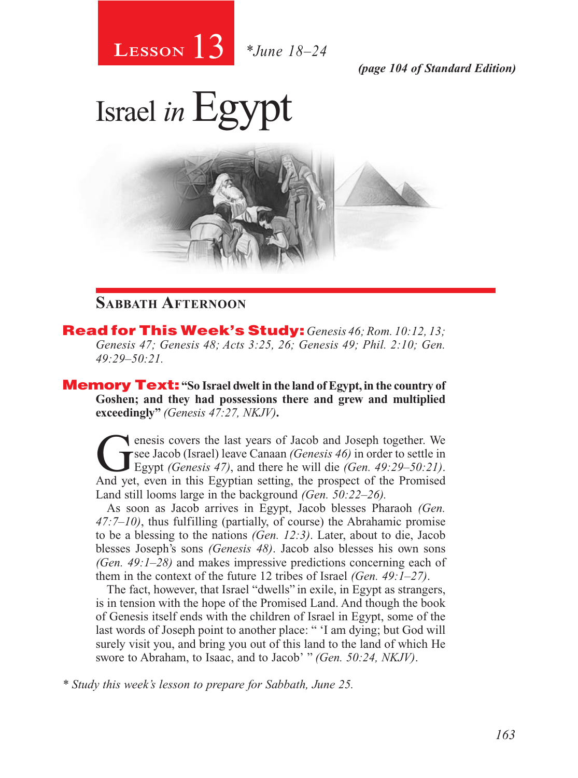

*(page 104 of Standard Edition)*

# Israel *in*Egypt



### **Sabbath Afternoon**

Read for This Week's Study: *Genesis 46; Rom. 10:12, 13; Genesis 47; Genesis 48; Acts 3:25, 26; Genesis 49; Phil. 2:10; Gen. 49:29–50:21.*

Memory Text: **"So Israel dwelt in the land of Egypt, in the country of Goshen; and they had possessions there and grew and multiplied exceedingly"** *(Genesis 47:27, NKJV)***.**

The energy covers the last years of Jacob and Joseph together. We see Jacob (Israel) leave Canaan *(Genesis 46)* in order to settle in Egypt *(Genesis 47)*, and there he will die *(Gen. 49:29–50:21)*. see Jacob (Israel) leave Canaan *(Genesis 46)* in order to settle in Egypt *(Genesis 47)*, and there he will die *(Gen. 49:29–50:21)*. And yet, even in this Egyptian setting, the prospect of the Promised Land still looms large in the background *(Gen. 50:22–26).*

As soon as Jacob arrives in Egypt, Jacob blesses Pharaoh *(Gen. 47:7–10)*, thus fulfilling (partially, of course) the Abrahamic promise to be a blessing to the nations *(Gen. 12:3)*. Later, about to die, Jacob blesses Joseph's sons *(Genesis 48)*. Jacob also blesses his own sons *(Gen. 49:1–28)* and makes impressive predictions concerning each of them in the context of the future 12 tribes of Israel *(Gen. 49:1–27)*.

The fact, however, that Israel "dwells" in exile, in Egypt as strangers, is in tension with the hope of the Promised Land. And though the book of Genesis itself ends with the children of Israel in Egypt, some of the last words of Joseph point to another place: " 'I am dying; but God will surely visit you, and bring you out of this land to the land of which He swore to Abraham, to Isaac, and to Jacob' " *(Gen. 50:24, NKJV)*.

*\* Study this week's lesson to prepare for Sabbath, June 25.*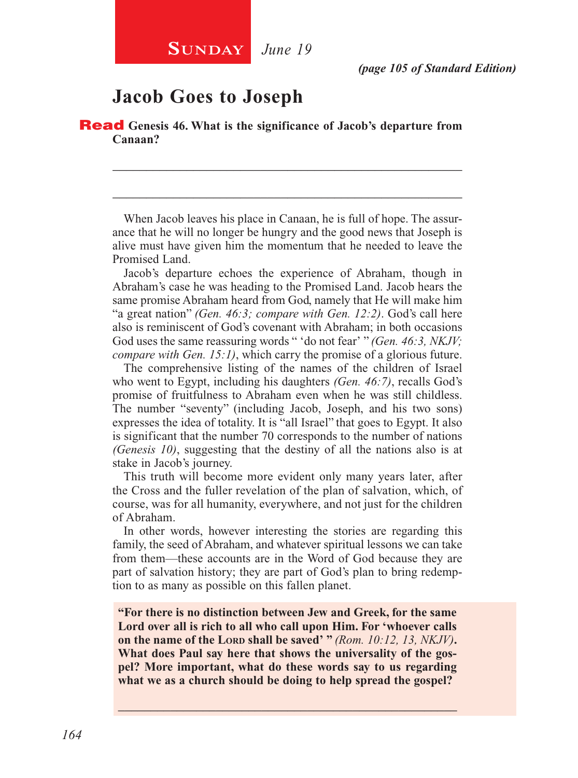## **SUNDAY** June 19

## **Jacob Goes to Joseph**

Read **Genesis 46. What is the significance of Jacob's departure from Canaan?**

When Jacob leaves his place in Canaan, he is full of hope. The assurance that he will no longer be hungry and the good news that Joseph is alive must have given him the momentum that he needed to leave the Promised Land.

\_\_\_\_\_\_\_\_\_\_\_\_\_\_\_\_\_\_\_\_\_\_\_\_\_\_\_\_\_\_\_\_\_\_\_\_\_\_\_\_\_\_\_\_\_\_\_\_\_\_\_\_

\_\_\_\_\_\_\_\_\_\_\_\_\_\_\_\_\_\_\_\_\_\_\_\_\_\_\_\_\_\_\_\_\_\_\_\_\_\_\_\_\_\_\_\_\_\_\_\_\_\_\_\_

Jacob's departure echoes the experience of Abraham, though in Abraham's case he was heading to the Promised Land. Jacob hears the same promise Abraham heard from God, namely that He will make him "a great nation" *(Gen. 46:3; compare with Gen. 12:2)*. God's call here also is reminiscent of God's covenant with Abraham; in both occasions God uses the same reassuring words " 'do not fear' " *(Gen. 46:3, NKJV; compare with Gen. 15:1)*, which carry the promise of a glorious future.

The comprehensive listing of the names of the children of Israel who went to Egypt, including his daughters *(Gen. 46:7)*, recalls God's promise of fruitfulness to Abraham even when he was still childless. The number "seventy" (including Jacob, Joseph, and his two sons) expresses the idea of totality. It is "all Israel" that goes to Egypt. It also is significant that the number 70 corresponds to the number of nations *(Genesis 10)*, suggesting that the destiny of all the nations also is at stake in Jacob's journey.

This truth will become more evident only many years later, after the Cross and the fuller revelation of the plan of salvation, which, of course, was for all humanity, everywhere, and not just for the children of Abraham.

In other words, however interesting the stories are regarding this family, the seed of Abraham, and whatever spiritual lessons we can take from them—these accounts are in the Word of God because they are part of salvation history; they are part of God's plan to bring redemption to as many as possible on this fallen planet.

**"For there is no distinction between Jew and Greek, for the same Lord over all is rich to all who call upon Him. For 'whoever calls on the name of the Lorp shall be saved' "** *(Rom. 10:12, 13, NKJV)*. **What does Paul say here that shows the universality of the gospel? More important, what do these words say to us regarding what we as a church should be doing to help spread the gospel?**

\_\_\_\_\_\_\_\_\_\_\_\_\_\_\_\_\_\_\_\_\_\_\_\_\_\_\_\_\_\_\_\_\_\_\_\_\_\_\_\_\_\_\_\_\_\_\_\_\_\_\_\_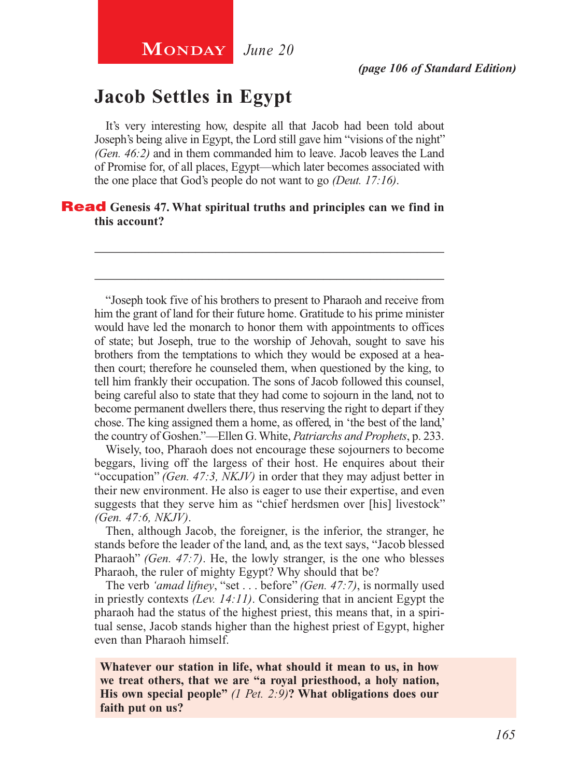## **Jacob Settles in Egypt**

It's very interesting how, despite all that Jacob had been told about Joseph's being alive in Egypt, the Lord still gave him "visions of the night" *(Gen. 46:2)* and in them commanded him to leave. Jacob leaves the Land of Promise for, of all places, Egypt—which later becomes associated with the one place that God's people do not want to go *(Deut. 17:16)*.

\_\_\_\_\_\_\_\_\_\_\_\_\_\_\_\_\_\_\_\_\_\_\_\_\_\_\_\_\_\_\_\_\_\_\_\_\_\_\_\_\_\_\_\_\_\_\_\_\_\_\_\_

\_\_\_\_\_\_\_\_\_\_\_\_\_\_\_\_\_\_\_\_\_\_\_\_\_\_\_\_\_\_\_\_\_\_\_\_\_\_\_\_\_\_\_\_\_\_\_\_\_\_\_\_

### **Read** Genesis 47. What spiritual truths and principles can we find in **this account?**

"Joseph took five of his brothers to present to Pharaoh and receive from him the grant of land for their future home. Gratitude to his prime minister would have led the monarch to honor them with appointments to offices of state; but Joseph, true to the worship of Jehovah, sought to save his brothers from the temptations to which they would be exposed at a heathen court; therefore he counseled them, when questioned by the king, to tell him frankly their occupation. The sons of Jacob followed this counsel, being careful also to state that they had come to sojourn in the land, not to become permanent dwellers there, thus reserving the right to depart if they chose. The king assigned them a home, as offered, in 'the best of the land,' the country of Goshen."—Ellen G. White, *Patriarchs and Prophets*, p. 233.

Wisely, too, Pharaoh does not encourage these sojourners to become beggars, living off the largess of their host. He enquires about their "occupation" *(Gen. 47:3, NKJV)* in order that they may adjust better in their new environment. He also is eager to use their expertise, and even suggests that they serve him as "chief herdsmen over [his] livestock" *(Gen. 47:6, NKJV)*.

Then, although Jacob, the foreigner, is the inferior, the stranger, he stands before the leader of the land, and, as the text says, "Jacob blessed Pharaoh" *(Gen. 47:7)*. He, the lowly stranger, is the one who blesses Pharaoh, the ruler of mighty Egypt? Why should that be?

The verb *'amad lifney*, "set . . . before" *(Gen. 47:7)*, is normally used in priestly contexts *(Lev. 14:11)*. Considering that in ancient Egypt the pharaoh had the status of the highest priest, this means that, in a spiritual sense, Jacob stands higher than the highest priest of Egypt, higher even than Pharaoh himself.

**Whatever our station in life, what should it mean to us, in how we treat others, that we are "a royal priesthood, a holy nation, His own special people"** *(1 Pet. 2:9)***? What obligations does our faith put on us?**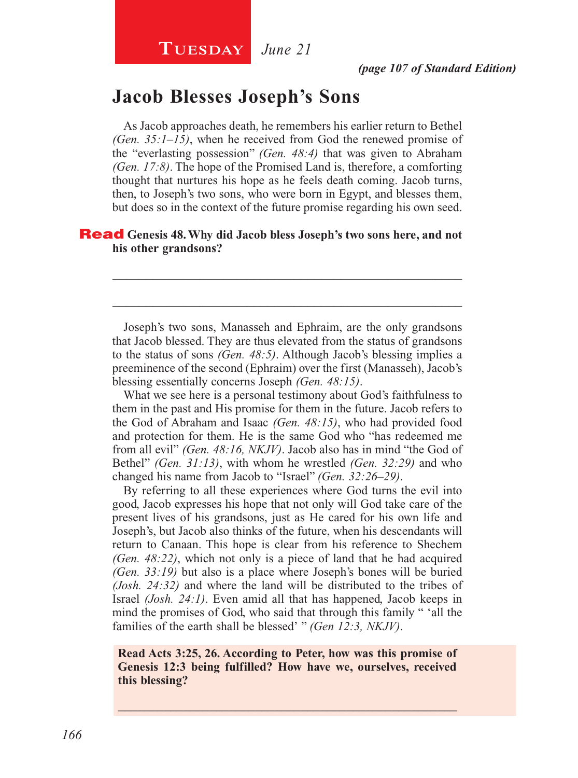## **Jacob Blesses Joseph's Sons**

As Jacob approaches death, he remembers his earlier return to Bethel *(Gen. 35:1–15)*, when he received from God the renewed promise of the "everlasting possession" *(Gen. 48:4)* that was given to Abraham *(Gen. 17:8)*. The hope of the Promised Land is, therefore, a comforting thought that nurtures his hope as he feels death coming. Jacob turns, then, to Joseph's two sons, who were born in Egypt, and blesses them, but does so in the context of the future promise regarding his own seed.

### Read **Genesis 48. Why did Jacob bless Joseph's two sons here, and not his other grandsons?**

Joseph's two sons, Manasseh and Ephraim, are the only grandsons that Jacob blessed. They are thus elevated from the status of grandsons to the status of sons *(Gen. 48:5)*. Although Jacob's blessing implies a preeminence of the second (Ephraim) over the first (Manasseh), Jacob's blessing essentially concerns Joseph *(Gen. 48:15)*.

\_\_\_\_\_\_\_\_\_\_\_\_\_\_\_\_\_\_\_\_\_\_\_\_\_\_\_\_\_\_\_\_\_\_\_\_\_\_\_\_\_\_\_\_\_\_\_\_\_\_\_\_

\_\_\_\_\_\_\_\_\_\_\_\_\_\_\_\_\_\_\_\_\_\_\_\_\_\_\_\_\_\_\_\_\_\_\_\_\_\_\_\_\_\_\_\_\_\_\_\_\_\_\_\_

What we see here is a personal testimony about God's faithfulness to them in the past and His promise for them in the future. Jacob refers to the God of Abraham and Isaac *(Gen. 48:15)*, who had provided food and protection for them. He is the same God who "has redeemed me from all evil" *(Gen. 48:16, NKJV)*. Jacob also has in mind "the God of Bethel" *(Gen. 31:13)*, with whom he wrestled *(Gen. 32:29)* and who changed his name from Jacob to "Israel" *(Gen. 32:26–29)*.

By referring to all these experiences where God turns the evil into good, Jacob expresses his hope that not only will God take care of the present lives of his grandsons, just as He cared for his own life and Joseph's, but Jacob also thinks of the future, when his descendants will return to Canaan. This hope is clear from his reference to Shechem *(Gen. 48:22)*, which not only is a piece of land that he had acquired *(Gen. 33:19)* but also is a place where Joseph's bones will be buried *(Josh. 24:32)* and where the land will be distributed to the tribes of Israel *(Josh. 24:1)*. Even amid all that has happened, Jacob keeps in mind the promises of God, who said that through this family " 'all the families of the earth shall be blessed' " *(Gen 12:3, NKJV)*.

### **Read Acts 3:25, 26. According to Peter, how was this promise of Genesis 12:3 being fulfilled? How have we, ourselves, received this blessing?**

\_\_\_\_\_\_\_\_\_\_\_\_\_\_\_\_\_\_\_\_\_\_\_\_\_\_\_\_\_\_\_\_\_\_\_\_\_\_\_\_\_\_\_\_\_\_\_\_\_\_\_\_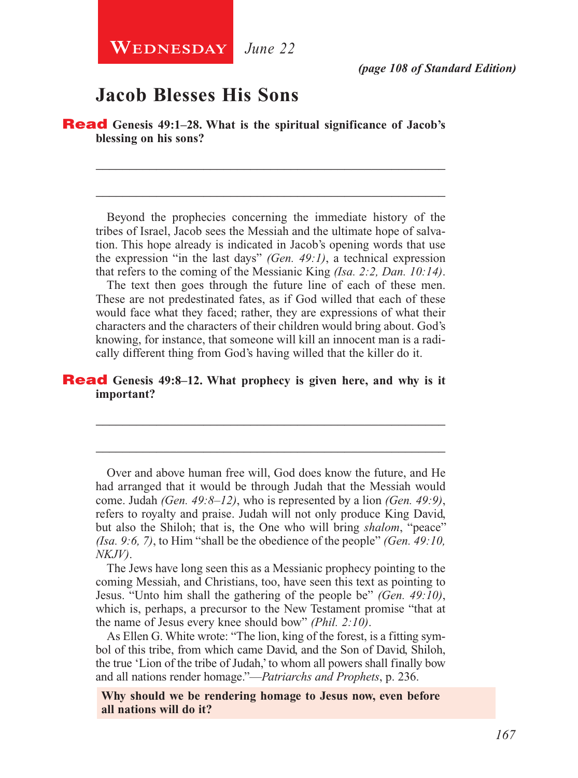## **Jacob Blesses His Sons**

Read **Genesis 49:1–28. What is the spiritual significance of Jacob's blessing on his sons?**

Beyond the prophecies concerning the immediate history of the tribes of Israel, Jacob sees the Messiah and the ultimate hope of salvation. This hope already is indicated in Jacob's opening words that use the expression "in the last days" *(Gen. 49:1)*, a technical expression that refers to the coming of the Messianic King *(Isa. 2:2, Dan. 10:14)*.

\_\_\_\_\_\_\_\_\_\_\_\_\_\_\_\_\_\_\_\_\_\_\_\_\_\_\_\_\_\_\_\_\_\_\_\_\_\_\_\_\_\_\_\_\_\_\_\_\_\_\_\_

\_\_\_\_\_\_\_\_\_\_\_\_\_\_\_\_\_\_\_\_\_\_\_\_\_\_\_\_\_\_\_\_\_\_\_\_\_\_\_\_\_\_\_\_\_\_\_\_\_\_\_\_

The text then goes through the future line of each of these men. These are not predestinated fates, as if God willed that each of these would face what they faced; rather, they are expressions of what their characters and the characters of their children would bring about. God's knowing, for instance, that someone will kill an innocent man is a radically different thing from God's having willed that the killer do it.

### Read **Genesis 49:8–12. What prophecy is given here, and why is it important?**

Over and above human free will, God does know the future, and He had arranged that it would be through Judah that the Messiah would come. Judah *(Gen. 49:8–12)*, who is represented by a lion *(Gen. 49:9)*, refers to royalty and praise. Judah will not only produce King David, but also the Shiloh; that is, the One who will bring *shalom*, "peace" *(Isa. 9:6, 7)*, to Him "shall be the obedience of the people" *(Gen. 49:10, NKJV)*.

\_\_\_\_\_\_\_\_\_\_\_\_\_\_\_\_\_\_\_\_\_\_\_\_\_\_\_\_\_\_\_\_\_\_\_\_\_\_\_\_\_\_\_\_\_\_\_\_\_\_\_\_

\_\_\_\_\_\_\_\_\_\_\_\_\_\_\_\_\_\_\_\_\_\_\_\_\_\_\_\_\_\_\_\_\_\_\_\_\_\_\_\_\_\_\_\_\_\_\_\_\_\_\_\_

The Jews have long seen this as a Messianic prophecy pointing to the coming Messiah, and Christians, too, have seen this text as pointing to Jesus. "Unto him shall the gathering of the people be" *(Gen. 49:10)*, which is, perhaps, a precursor to the New Testament promise "that at the name of Jesus every knee should bow" *(Phil. 2:10)*.

As Ellen G. White wrote: "The lion, king of the forest, is a fitting symbol of this tribe, from which came David, and the Son of David, Shiloh, the true 'Lion of the tribe of Judah,' to whom all powers shall finally bow and all nations render homage."—*Patriarchs and Prophets*, p. 236.

**Why should we be rendering homage to Jesus now, even before all nations will do it?**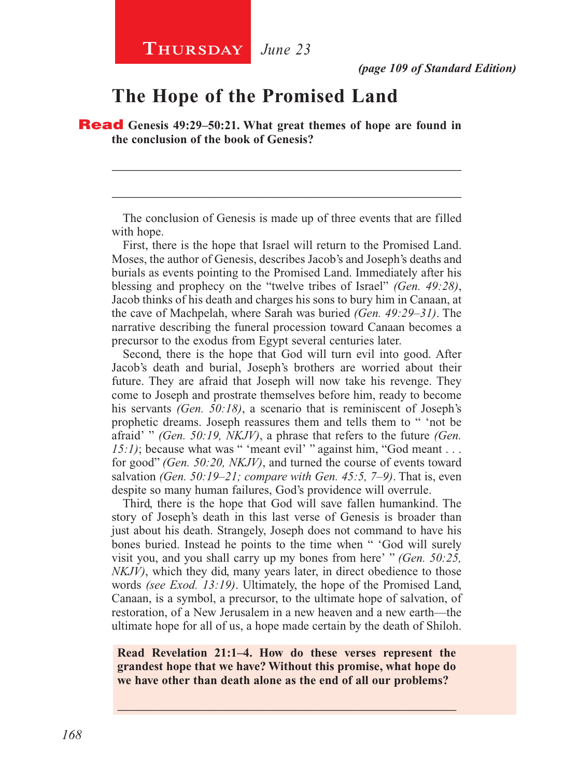## **The Hope of the Promised Land**

Read **Genesis 49:29–50:21. What great themes of hope are found in the conclusion of the book of Genesis?**

The conclusion of Genesis is made up of three events that are filled with hope.

\_\_\_\_\_\_\_\_\_\_\_\_\_\_\_\_\_\_\_\_\_\_\_\_\_\_\_\_\_\_\_\_\_\_\_\_\_\_\_\_\_\_\_\_\_\_\_\_\_\_\_\_

\_\_\_\_\_\_\_\_\_\_\_\_\_\_\_\_\_\_\_\_\_\_\_\_\_\_\_\_\_\_\_\_\_\_\_\_\_\_\_\_\_\_\_\_\_\_\_\_\_\_\_\_

First, there is the hope that Israel will return to the Promised Land. Moses, the author of Genesis, describes Jacob's and Joseph's deaths and burials as events pointing to the Promised Land. Immediately after his blessing and prophecy on the "twelve tribes of Israel" *(Gen. 49:28)*, Jacob thinks of his death and charges his sons to bury him in Canaan, at the cave of Machpelah, where Sarah was buried *(Gen. 49:29–31)*. The narrative describing the funeral procession toward Canaan becomes a precursor to the exodus from Egypt several centuries later.

Second, there is the hope that God will turn evil into good. After Jacob's death and burial, Joseph's brothers are worried about their future. They are afraid that Joseph will now take his revenge. They come to Joseph and prostrate themselves before him, ready to become his servants *(Gen. 50:18)*, a scenario that is reminiscent of Joseph's prophetic dreams. Joseph reassures them and tells them to " 'not be afraid' " *(Gen. 50:19, NKJV)*, a phrase that refers to the future *(Gen. 15:1*); because what was " 'meant evil' " against him, "God meant . . . for good" *(Gen. 50:20, NKJV)*, and turned the course of events toward salvation *(Gen. 50:19–21; compare with Gen. 45:5, 7–9)*. That is, even despite so many human failures, God's providence will overrule.

Third, there is the hope that God will save fallen humankind. The story of Joseph's death in this last verse of Genesis is broader than just about his death. Strangely, Joseph does not command to have his bones buried. Instead he points to the time when " 'God will surely visit you, and you shall carry up my bones from here' " *(Gen. 50:25, NKJV)*, which they did, many years later, in direct obedience to those words *(see Exod. 13:19)*. Ultimately, the hope of the Promised Land, Canaan, is a symbol, a precursor, to the ultimate hope of salvation, of restoration, of a New Jerusalem in a new heaven and a new earth—the ultimate hope for all of us, a hope made certain by the death of Shiloh.

### **Read Revelation 21:1–4. How do these verses represent the grandest hope that we have? Without this promise, what hope do we have other than death alone as the end of all our problems?**

\_\_\_\_\_\_\_\_\_\_\_\_\_\_\_\_\_\_\_\_\_\_\_\_\_\_\_\_\_\_\_\_\_\_\_\_\_\_\_\_\_\_\_\_\_\_\_\_\_\_\_\_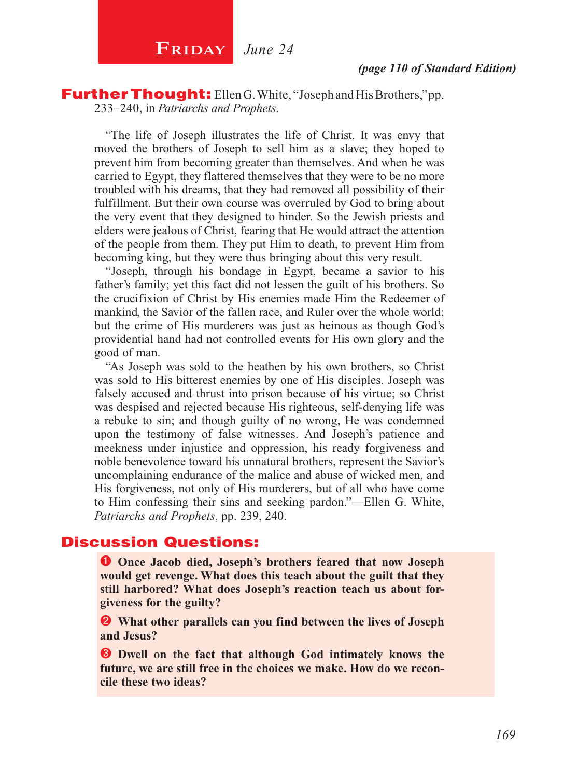Further Thought: Ellen G. White, "Joseph and His Brothers," pp. 233–240, in *Patriarchs and Prophets*.

"The life of Joseph illustrates the life of Christ. It was envy that moved the brothers of Joseph to sell him as a slave; they hoped to prevent him from becoming greater than themselves. And when he was carried to Egypt, they flattered themselves that they were to be no more troubled with his dreams, that they had removed all possibility of their fulfillment. But their own course was overruled by God to bring about the very event that they designed to hinder. So the Jewish priests and elders were jealous of Christ, fearing that He would attract the attention of the people from them. They put Him to death, to prevent Him from becoming king, but they were thus bringing about this very result.

"Joseph, through his bondage in Egypt, became a savior to his father's family; yet this fact did not lessen the guilt of his brothers. So the crucifixion of Christ by His enemies made Him the Redeemer of mankind, the Savior of the fallen race, and Ruler over the whole world; but the crime of His murderers was just as heinous as though God's providential hand had not controlled events for His own glory and the good of man.

"As Joseph was sold to the heathen by his own brothers, so Christ was sold to His bitterest enemies by one of His disciples. Joseph was falsely accused and thrust into prison because of his virtue; so Christ was despised and rejected because His righteous, self-denying life was a rebuke to sin; and though guilty of no wrong, He was condemned upon the testimony of false witnesses. And Joseph's patience and meekness under injustice and oppression, his ready forgiveness and noble benevolence toward his unnatural brothers, represent the Savior's uncomplaining endurance of the malice and abuse of wicked men, and His forgiveness, not only of His murderers, but of all who have come to Him confessing their sins and seeking pardon."—Ellen G. White, *Patriarchs and Prophets*, pp. 239, 240.

### Discussion Questions:

**O** Once Jacob died, Joseph's brothers feared that now Joseph **would get revenge. What does this teach about the guilt that they still harbored? What does Joseph's reaction teach us about forgiveness for the guilty?**

 **What other parallels can you find between the lives of Joseph and Jesus?**

 $\bullet$  Dwell on the fact that although God intimately knows the **future, we are still free in the choices we make. How do we reconcile these two ideas?**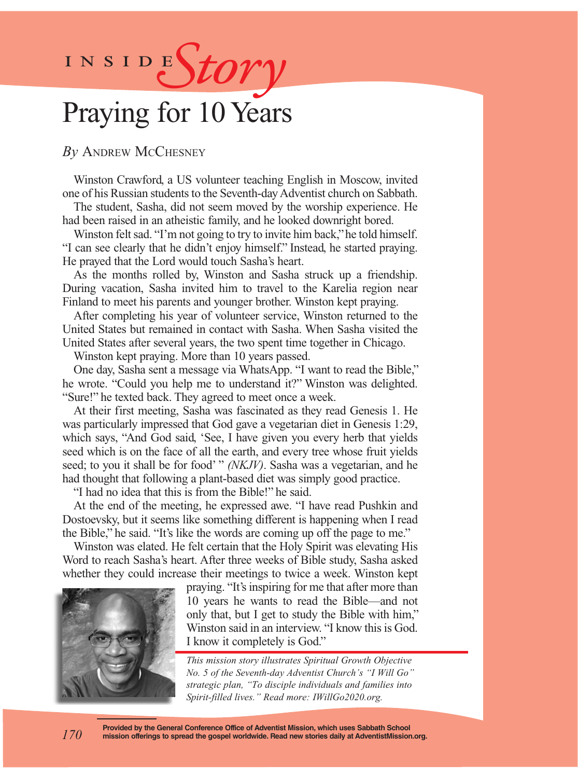

## Praying for 10 Years

*By* Andrew McChesney

Winston Crawford, a US volunteer teaching English in Moscow, invited one of his Russian students to the Seventh-day Adventist church on Sabbath.

The student, Sasha, did not seem moved by the worship experience. He had been raised in an atheistic family, and he looked downright bored.

Winston felt sad. "I'm not going to try to invite him back," he told himself. "I can see clearly that he didn't enjoy himself." Instead, he started praying. He prayed that the Lord would touch Sasha's heart.

As the months rolled by, Winston and Sasha struck up a friendship. During vacation, Sasha invited him to travel to the Karelia region near Finland to meet his parents and younger brother. Winston kept praying.

After completing his year of volunteer service, Winston returned to the United States but remained in contact with Sasha. When Sasha visited the United States after several years, the two spent time together in Chicago.

Winston kept praying. More than 10 years passed.

One day, Sasha sent a message via WhatsApp. "I want to read the Bible," he wrote. "Could you help me to understand it?" Winston was delighted. "Sure!" he texted back. They agreed to meet once a week.

At their first meeting, Sasha was fascinated as they read Genesis 1. He was particularly impressed that God gave a vegetarian diet in Genesis 1:29, which says, "And God said, 'See, I have given you every herb that yields seed which is on the face of all the earth, and every tree whose fruit yields seed; to you it shall be for food' " *(NKJV)*. Sasha was a vegetarian, and he had thought that following a plant-based diet was simply good practice.

"I had no idea that this is from the Bible!" he said.

At the end of the meeting, he expressed awe. "I have read Pushkin and Dostoevsky, but it seems like something different is happening when I read the Bible," he said. "It's like the words are coming up off the page to me."

Winston was elated. He felt certain that the Holy Spirit was elevating His Word to reach Sasha's heart. After three weeks of Bible study, Sasha asked whether they could increase their meetings to twice a week. Winston kept



*170*

praying. "It's inspiring for me that after more than 10 years he wants to read the Bible—and not only that, but I get to study the Bible with him," Winston said in an interview. "I know this is God. I know it completely is God."

*This mission story illustrates Spiritual Growth Objective No. 5 of the Seventh-day Adventist Church's "I Will Go" strategic plan, "To disciple individuals and families into Spirit-filled lives." Read more: IWillGo2020.org.*

**Provided by the General Conference Office of Adventist Mission, which uses Sabbath School mission offerings to spread the gospel worldwide. Read new stories daily at AdventistMission.org.**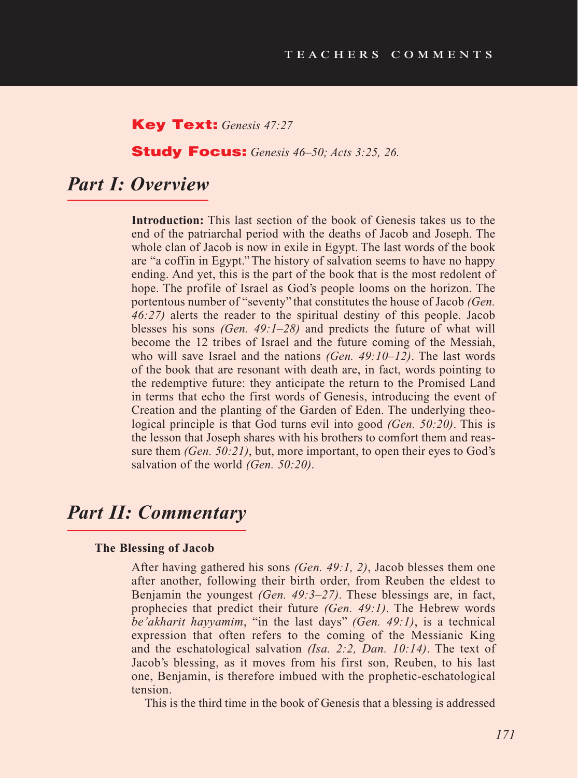### Key Text: *Genesis 47:27*

Study Focus: *Genesis 46–50; Acts 3:25, 26.*

## *Part I: Overview*

**Introduction:** This last section of the book of Genesis takes us to the end of the patriarchal period with the deaths of Jacob and Joseph. The whole clan of Jacob is now in exile in Egypt. The last words of the book are "a coffin in Egypt." The history of salvation seems to have no happy ending. And yet, this is the part of the book that is the most redolent of hope. The profile of Israel as God's people looms on the horizon. The portentous number of "seventy" that constitutes the house of Jacob *(Gen. 46:27)* alerts the reader to the spiritual destiny of this people. Jacob blesses his sons *(Gen. 49:1–28)* and predicts the future of what will become the 12 tribes of Israel and the future coming of the Messiah, who will save Israel and the nations *(Gen. 49:10–12)*. The last words of the book that are resonant with death are, in fact, words pointing to the redemptive future: they anticipate the return to the Promised Land in terms that echo the first words of Genesis, introducing the event of Creation and the planting of the Garden of Eden. The underlying theological principle is that God turns evil into good *(Gen. 50:20)*. This is the lesson that Joseph shares with his brothers to comfort them and reassure them *(Gen. 50:21)*, but, more important, to open their eyes to God's salvation of the world *(Gen. 50:20)*.

## *Part II: Commentary*

#### **The Blessing of Jacob**

After having gathered his sons *(Gen. 49:1, 2)*, Jacob blesses them one after another, following their birth order, from Reuben the eldest to Benjamin the youngest *(Gen. 49:3–27)*. These blessings are, in fact, prophecies that predict their future *(Gen. 49:1)*. The Hebrew words *be'akharit hayyamim*, "in the last days" *(Gen. 49:1)*, is a technical expression that often refers to the coming of the Messianic King and the eschatological salvation *(Isa. 2:2, Dan. 10:14)*. The text of Jacob's blessing, as it moves from his first son, Reuben, to his last one, Benjamin, is therefore imbued with the prophetic-eschatological tension.

This is the third time in the book of Genesis that a blessing is addressed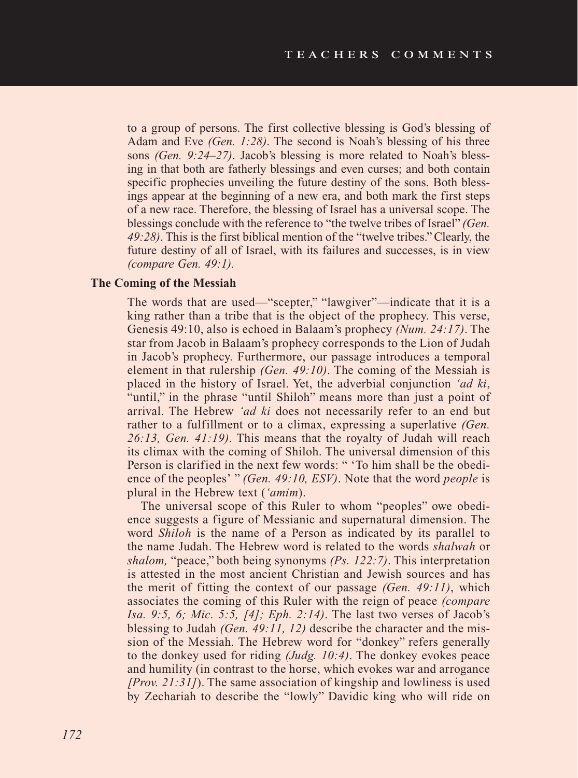to a group of persons. The first collective blessing is God's blessing of Adam and Eve *(Gen. 1:28)*. The second is Noah's blessing of his three sons *(Gen. 9:24–27)*. Jacob's blessing is more related to Noah's blessing in that both are fatherly blessings and even curses; and both contain specific prophecies unveiling the future destiny of the sons. Both blessings appear at the beginning of a new era, and both mark the first steps of a new race. Therefore, the blessing of Israel has a universal scope. The blessings conclude with the reference to "the twelve tribes of Israel" *(Gen. 49:28)*. This is the first biblical mention of the "twelve tribes." Clearly, the future destiny of all of Israel, with its failures and successes, is in view *(compare Gen. 49:1).* 

### **The Coming of the Messiah**

The words that are used—"scepter," "lawgiver"—indicate that it is a king rather than a tribe that is the object of the prophecy. This verse, Genesis 49:10, also is echoed in Balaam's prophecy *(Num. 24:17)*. The star from Jacob in Balaam's prophecy corresponds to the Lion of Judah in Jacob's prophecy. Furthermore, our passage introduces a temporal element in that rulership *(Gen. 49:10)*. The coming of the Messiah is placed in the history of Israel. Yet, the adverbial conjunction *'ad ki*, "until," in the phrase "until Shiloh" means more than just a point of arrival. The Hebrew *'ad ki* does not necessarily refer to an end but rather to a fulfillment or to a climax, expressing a superlative *(Gen. 26:13, Gen. 41:19)*. This means that the royalty of Judah will reach its climax with the coming of Shiloh. The universal dimension of this Person is clarified in the next few words: " 'To him shall be the obedience of the peoples' " *(Gen. 49:10, ESV)*. Note that the word *people* is plural in the Hebrew text (*'amim*).

The universal scope of this Ruler to whom "peoples" owe obedience suggests a figure of Messianic and supernatural dimension. The word *Shiloh* is the name of a Person as indicated by its parallel to the name Judah. The Hebrew word is related to the words *shalwah* or *shalom,* "peace," both being synonyms *(Ps. 122:7)*. This interpretation is attested in the most ancient Christian and Jewish sources and has the merit of fitting the context of our passage *(Gen. 49:11)*, which associates the coming of this Ruler with the reign of peace *(compare Isa. 9:5, 6; Mic. 5:5, [4]; Eph. 2:14)*. The last two verses of Jacob's blessing to Judah *(Gen. 49:11, 12)* describe the character and the mission of the Messiah. The Hebrew word for "donkey" refers generally to the donkey used for riding *(Judg. 10:4)*. The donkey evokes peace and humility (in contrast to the horse, which evokes war and arrogance *[Prov. 21:31]*). The same association of kingship and lowliness is used by Zechariah to describe the "lowly" Davidic king who will ride on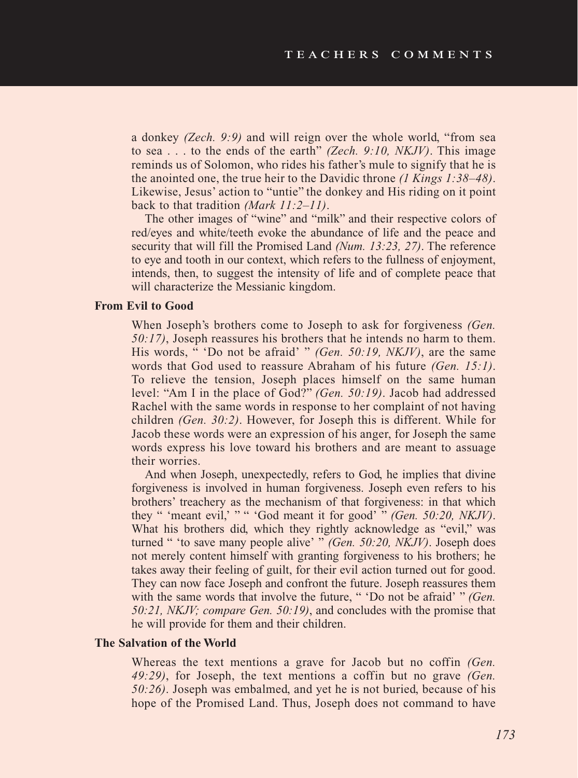a donkey *(Zech. 9:9)* and will reign over the whole world, "from sea to sea . . . to the ends of the earth" *(Zech. 9:10, NKJV)*. This image reminds us of Solomon, who rides his father's mule to signify that he is the anointed one, the true heir to the Davidic throne *(1 Kings 1:38–48)*. Likewise, Jesus' action to "untie" the donkey and His riding on it point back to that tradition *(Mark 11:2–11)*.

The other images of "wine" and "milk" and their respective colors of red/eyes and white/teeth evoke the abundance of life and the peace and security that will fill the Promised Land *(Num. 13:23, 27)*. The reference to eye and tooth in our context, which refers to the fullness of enjoyment, intends, then, to suggest the intensity of life and of complete peace that will characterize the Messianic kingdom.

### **From Evil to Good**

When Joseph's brothers come to Joseph to ask for forgiveness *(Gen. 50:17)*, Joseph reassures his brothers that he intends no harm to them. His words, " 'Do not be afraid' " *(Gen. 50:19, NKJV)*, are the same words that God used to reassure Abraham of his future *(Gen. 15:1)*. To relieve the tension, Joseph places himself on the same human level: "Am I in the place of God?" *(Gen. 50:19)*. Jacob had addressed Rachel with the same words in response to her complaint of not having children *(Gen. 30:2)*. However, for Joseph this is different. While for Jacob these words were an expression of his anger, for Joseph the same words express his love toward his brothers and are meant to assuage their worries.

And when Joseph, unexpectedly, refers to God, he implies that divine forgiveness is involved in human forgiveness. Joseph even refers to his brothers' treachery as the mechanism of that forgiveness: in that which they " 'meant evil,' " " 'God meant it for good' " *(Gen. 50:20, NKJV)*. What his brothers did, which they rightly acknowledge as "evil," was turned " 'to save many people alive' " *(Gen. 50:20, NKJV)*. Joseph does not merely content himself with granting forgiveness to his brothers; he takes away their feeling of guilt, for their evil action turned out for good. They can now face Joseph and confront the future. Joseph reassures them with the same words that involve the future, " 'Do not be afraid' " *(Gen. 50:21, NKJV; compare Gen. 50:19)*, and concludes with the promise that he will provide for them and their children.

#### **The Salvation of the World**

Whereas the text mentions a grave for Jacob but no coffin *(Gen. 49:29)*, for Joseph, the text mentions a coffin but no grave *(Gen. 50:26)*. Joseph was embalmed, and yet he is not buried, because of his hope of the Promised Land. Thus, Joseph does not command to have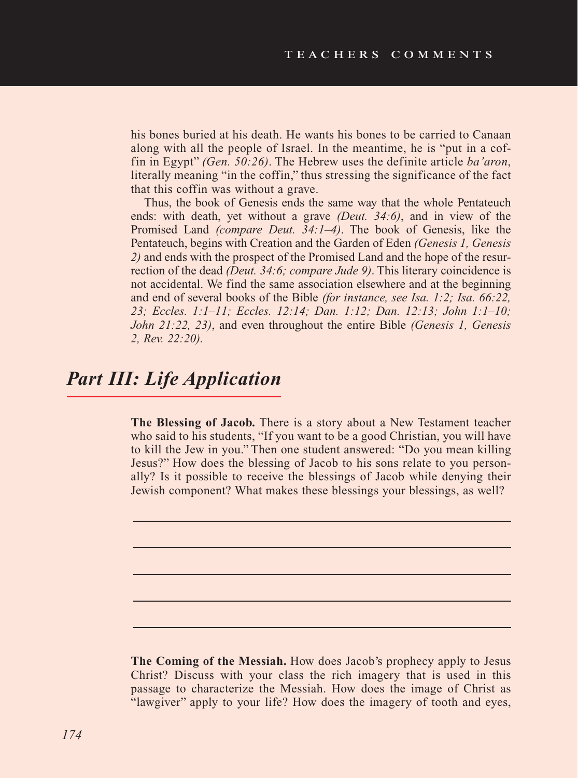his bones buried at his death. He wants his bones to be carried to Canaan along with all the people of Israel. In the meantime, he is "put in a coffin in Egypt" *(Gen. 50:26)*. The Hebrew uses the definite article *ba'aron*, literally meaning "in the coffin," thus stressing the significance of the fact that this coffin was without a grave.

Thus, the book of Genesis ends the same way that the whole Pentateuch ends: with death, yet without a grave *(Deut. 34:6)*, and in view of the Promised Land *(compare Deut. 34:1–4)*. The book of Genesis, like the Pentateuch, begins with Creation and the Garden of Eden *(Genesis 1, Genesis 2)* and ends with the prospect of the Promised Land and the hope of the resurrection of the dead *(Deut. 34:6; compare Jude 9)*. This literary coincidence is not accidental. We find the same association elsewhere and at the beginning and end of several books of the Bible *(for instance, see Isa. 1:2; Isa. 66:22, 23; Eccles. 1:1–11; Eccles. 12:14; Dan. 1:12; Dan. 12:13; John 1:1–10; John 21:22, 23)*, and even throughout the entire Bible *(Genesis 1, Genesis 2, Rev. 22:20).* 

## *Part III: Life Application*

**The Blessing of Jacob.** There is a story about a New Testament teacher who said to his students, "If you want to be a good Christian, you will have to kill the Jew in you." Then one student answered: "Do you mean killing Jesus?" How does the blessing of Jacob to his sons relate to you personally? Is it possible to receive the blessings of Jacob while denying their Jewish component? What makes these blessings your blessings, as well?

**The Coming of the Messiah.** How does Jacob's prophecy apply to Jesus Christ? Discuss with your class the rich imagery that is used in this passage to characterize the Messiah. How does the image of Christ as "lawgiver" apply to your life? How does the imagery of tooth and eyes,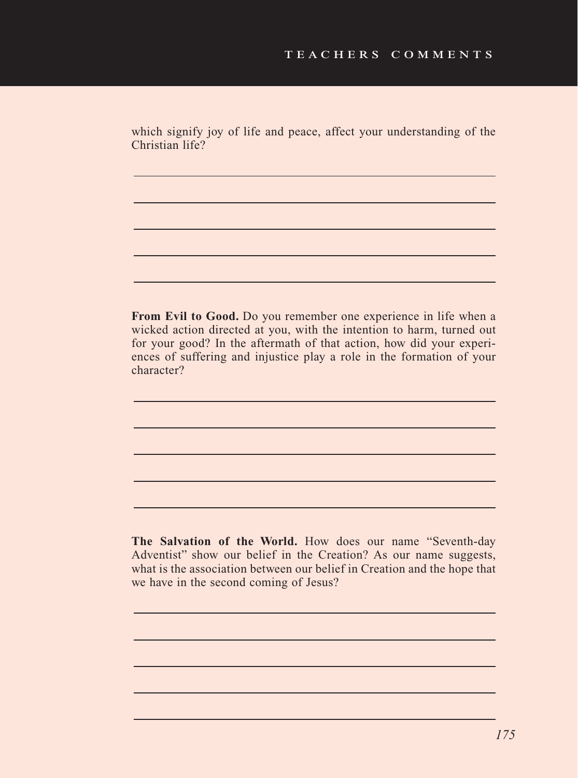which signify joy of life and peace, affect your understanding of the Christian life?

**From Evil to Good.** Do you remember one experience in life when a wicked action directed at you, with the intention to harm, turned out for your good? In the aftermath of that action, how did your experiences of suffering and injustice play a role in the formation of your character?

**The Salvation of the World.** How does our name "Seventh-day Adventist" show our belief in the Creation? As our name suggests, what is the association between our belief in Creation and the hope that we have in the second coming of Jesus?